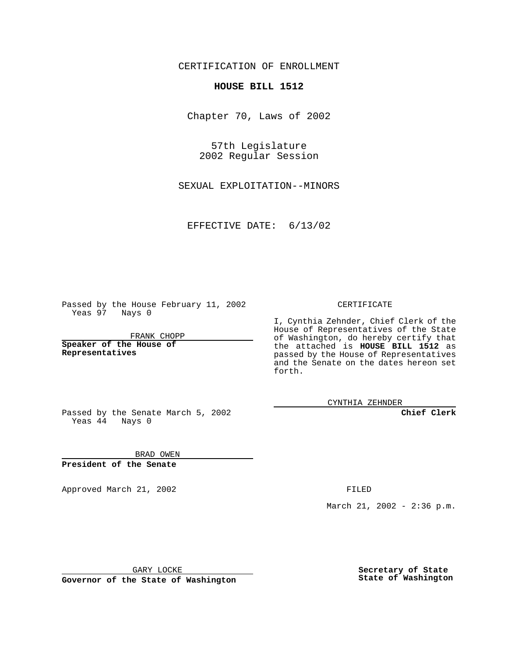CERTIFICATION OF ENROLLMENT

## **HOUSE BILL 1512**

Chapter 70, Laws of 2002

57th Legislature 2002 Regular Session

SEXUAL EXPLOITATION--MINORS

EFFECTIVE DATE: 6/13/02

Passed by the House February 11, 2002 Yeas 97 Nays 0

FRANK CHOPP

**Speaker of the House of Representatives**

## CERTIFICATE

I, Cynthia Zehnder, Chief Clerk of the House of Representatives of the State of Washington, do hereby certify that the attached is **HOUSE BILL 1512** as passed by the House of Representatives and the Senate on the dates hereon set forth.

CYNTHIA ZEHNDER

**Chief Clerk**

Passed by the Senate March 5, 2002 Yeas  $4\overline{4}$  Nays 0

BRAD OWEN **President of the Senate**

Approved March 21, 2002 **FILED** 

March 21, 2002 - 2:36 p.m.

GARY LOCKE

**Governor of the State of Washington**

**Secretary of State State of Washington**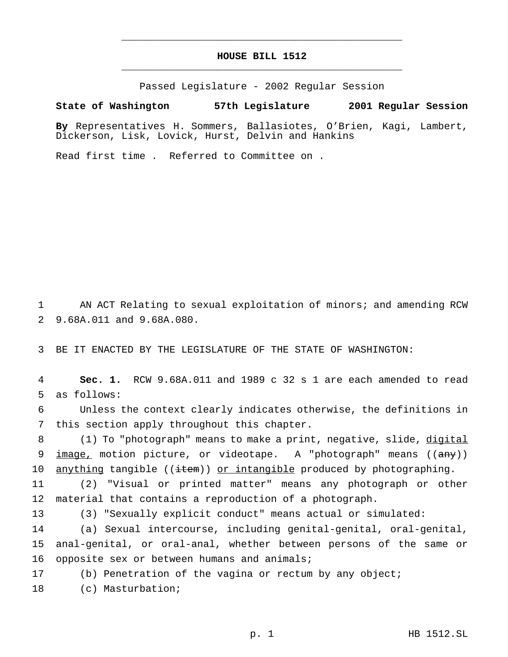## **HOUSE BILL 1512** \_\_\_\_\_\_\_\_\_\_\_\_\_\_\_\_\_\_\_\_\_\_\_\_\_\_\_\_\_\_\_\_\_\_\_\_\_\_\_\_\_\_\_\_\_\_\_

\_\_\_\_\_\_\_\_\_\_\_\_\_\_\_\_\_\_\_\_\_\_\_\_\_\_\_\_\_\_\_\_\_\_\_\_\_\_\_\_\_\_\_\_\_\_\_

Passed Legislature - 2002 Regular Session

## **State of Washington 57th Legislature 2001 Regular Session**

**By** Representatives H. Sommers, Ballasiotes, O'Brien, Kagi, Lambert, Dickerson, Lisk, Lovick, Hurst, Delvin and Hankins

Read first time . Referred to Committee on .

1 AN ACT Relating to sexual exploitation of minors; and amending RCW 2 9.68A.011 and 9.68A.080.

3 BE IT ENACTED BY THE LEGISLATURE OF THE STATE OF WASHINGTON:

4 **Sec. 1.** RCW 9.68A.011 and 1989 c 32 s 1 are each amended to read 5 as follows:

6 Unless the context clearly indicates otherwise, the definitions in 7 this section apply throughout this chapter.

8 (1) To "photograph" means to make a print, negative, slide, digital 9  $\frac{image}{image}$  motion picture, or videotape. A "photograph" means ( $\frac{array}{(array)}$ ) 10  $\frac{amything}{amithing}$  ((item)) or intangible produced by photographing.

11 (2) "Visual or printed matter" means any photograph or other 12 material that contains a reproduction of a photograph.

13 (3) "Sexually explicit conduct" means actual or simulated:

14 (a) Sexual intercourse, including genital-genital, oral-genital, 15 anal-genital, or oral-anal, whether between persons of the same or 16 opposite sex or between humans and animals;

17 (b) Penetration of the vagina or rectum by any object;

18 (c) Masturbation;